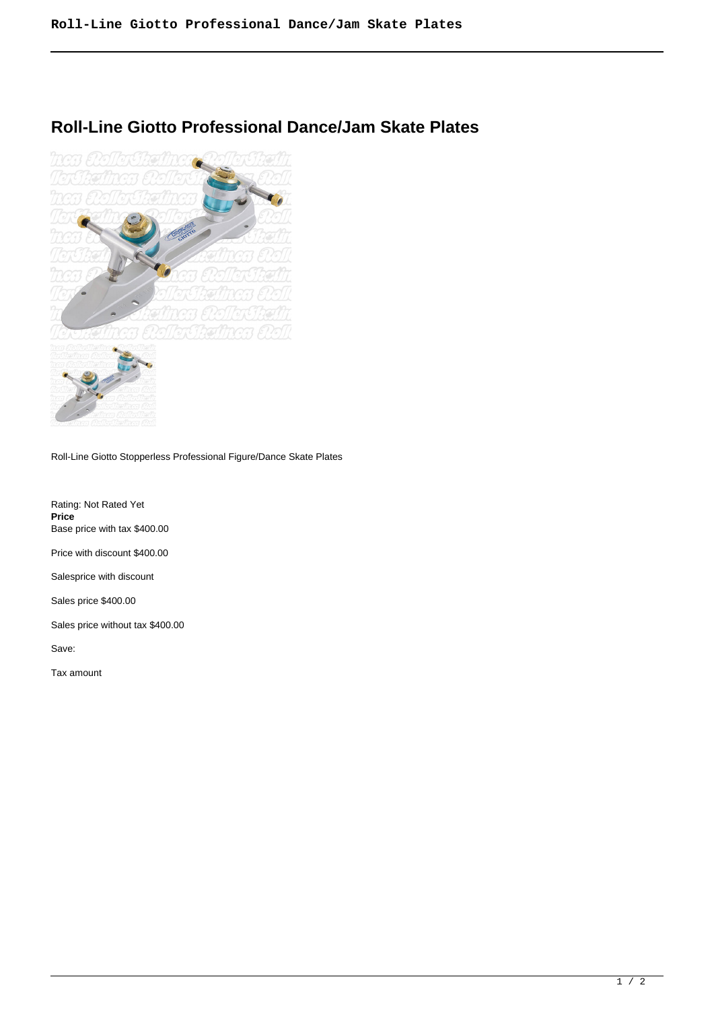## **Roll-Line Giotto Professional Dance/Jam Skate Plates**



Roll-Line Giotto Stopperless Professional Figure/Dance Skate Plates

Rating: Not Rated Yet **Price**  Base price with tax \$400.00 Price with discount \$400.00

Salesprice with discount

Sales price \$400.00

Sales price without tax \$400.00

Save:

Tax amount